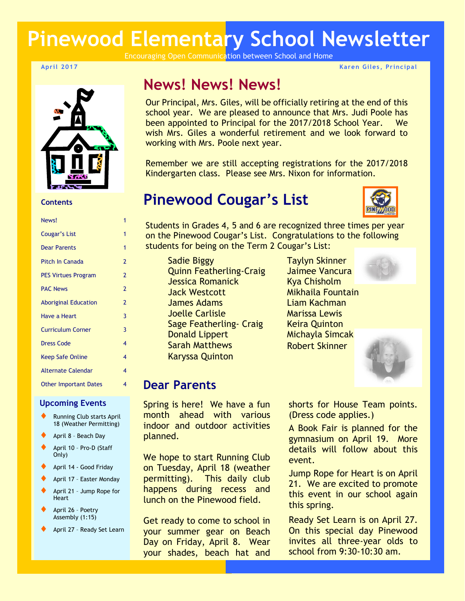# **Pinewood Elementary School Newsletter**

Encouraging Open Communication between School and Home

#### **April 2017**



#### **Contents**

| News!                        | 1              |
|------------------------------|----------------|
| Cougar's List                | 1              |
| <b>Dear Parents</b>          | 1              |
| Pitch In Canada              | 2              |
| <b>PES Virtues Program</b>   | 2              |
| <b>PAC News</b>              | $\overline{2}$ |
| <b>Aboriginal Education</b>  | $\overline{2}$ |
| <b>Have a Heart</b>          | 3              |
| <b>Curriculum Corner</b>     | 3              |
| <b>Dress Code</b>            | 4              |
| <b>Keep Safe Online</b>      | 4              |
| <b>Alternate Calendar</b>    | 4              |
| <b>Other Important Dates</b> | 4              |
|                              |                |

### **Upcoming Events**

- Running Club starts April 18 (Weather Permitting)
- April 8 Beach Day
- April 10 Pro-D (Staff Only)
- April 14 Good Friday
- April 17 Easter Monday
- April 21 Jump Rope for **Heart**
- April 26 Poetry Assembly (1:15)
- April 27 Ready Set Learn

# **News! News! News!**

Our Principal, Mrs. Giles, will be officially retiring at the end of this school year. We are pleased to announce that Mrs. Judi Poole has been appointed to Principal for the 2017/2018 School Year. We wish Mrs. Giles a wonderful retirement and we look forward to working with Mrs. Poole next year.

Remember we are still accepting registrations for the 2017/2018 Kindergarten class. Please see Mrs. Nixon for information.

# **Pinewood Cougar's List**



**Karen Giles , Principal**

Students in Grades 4, 5 and 6 are recognized three times per year on the Pinewood Cougar's List. Congratulations to the following students for being on the Term 2 Cougar's List:

Sadie Biggy Quinn Featherling-Craig Jessica Romanick Jack Westcott James Adams Joelle Carlisle Sage Featherling- Craig Donald Lippert Sarah Matthews Karyssa Quinton

Taylyn Skinner Jaimee Vancura Kya Chisholm Mikhaila Fountain Liam Kachman Marissa Lewis Keira Quinton Michayla Simcak Robert Skinner





# **Dear Parents**

Spring is here! We have a fun month ahead with various indoor and outdoor activities planned.

We hope to start Running Club on Tuesday, April 18 (weather permitting). This daily club happens during recess and lunch on the Pinewood field.

Get ready to come to school in your summer gear on Beach Day on Friday, April 8. Wear your shades, beach hat and shorts for House Team points. (Dress code applies.)

A Book Fair is planned for the gymnasium on April 19. More details will follow about this event.

Jump Rope for Heart is on April 21. We are excited to promote this event in our school again this spring.

Ready Set Learn is on April 27. On this special day Pinewood invites all three-year olds to school from 9:30-10:30 am.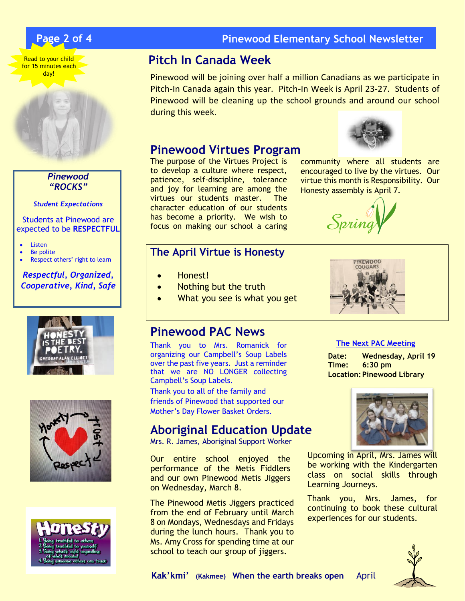





*Pinewood "ROCKS"*

*Student Expectations*

Students at Pinewood are expected to be **RESPECTFUL**

- Listen
- Be polite
- Respect others' right to learn

### *Respectful, Organized, Cooperative, Kind, Safe*







## **Page 2 of 4 Pinewood Elementary School Newsletter**

# **Pitch In Canada Week**

Pinewood will be joining over half a million Canadians as we participate in Pitch-In Canada again this year. Pitch-In Week is April 23-27. Students of Pinewood will be cleaning up the school grounds and around our school during this week.

## **Pinewood Virtues Program**

The purpose of the Virtues Project is to develop a culture where respect, patience, self-discipline, tolerance and joy for learning are among the virtues our students master. The character education of our students has become a priority. We wish to focus on making our school a caring

## **The April Virtue is Honesty**

- Honest!
- Nothing but the truth
- What you see is what you get

## **Pinewood PAC News**

Thank you to Mrs. Romanick for organizing our Campbell's Soup Labels over the past five years. Just a reminder that we are NO LONGER collecting Campbell's Soup Labels.

Thank you to all of the family and friends of Pinewood that supported our Mother's Day Flower Basket Orders.

# **Aboriginal Education Update**

Mrs. R. James, Aboriginal Support Worker

Our entire school enjoyed the performance of the Metis Fiddlers and our own Pinewood Metis Jiggers on Wednesday, March 8.

The Pinewood Metis Jiggers practiced from the end of February until March 8 on Mondays, Wednesdays and Fridays during the lunch hours. Thank you to Ms. Amy Cross for spending time at our school to teach our group of jiggers.



community where all students are encouraged to live by the virtues. Our virtue this month is Responsibility. Our Honesty assembly is April 7.





### **The Next PAC Meeting**

**Date: Wednesday, April 19 Time: 6:30 pm Location:Pinewood Library**



Upcoming in April, Mrs. James will be working with the Kindergarten class on social skills through Learning Journeys.

Thank you, Mrs. James, for continuing to book these cultural experiences for our students.

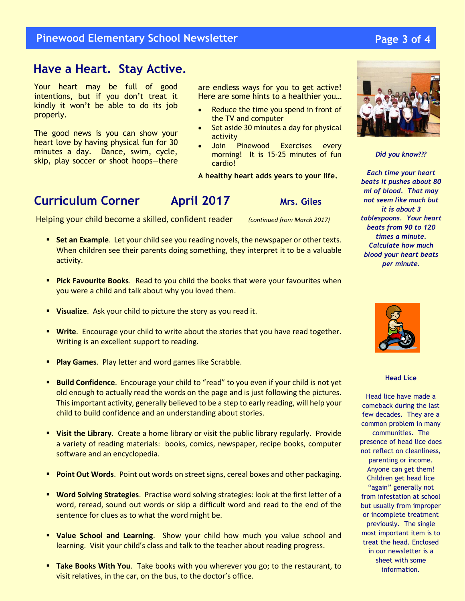## **Pinewood Elementary School Newsletter**

# **` Have a Heart. Stay Active.**

Your heart may be full of good intentions, but if you don't treat it kindly it won't be able to do its job properly.

The good news is you can show your heart love by having physical fun for 30 minutes a day. Dance, swim, cycle, skip, play soccer or shoot hoops—there are endless ways for you to get active! Here are some hints to a healthier you…

- Reduce the time you spend in front of the TV and computer
- Set aside 30 minutes a day for physical activity
- Join Pinewood Exercises every morning! It is 15-25 minutes of fun cardio!

**A healthy heart adds years to your life.**

Helping your child become a skilled, confident reader *(continued from March 2017)*

- **Set an Example**. Let your child see you reading novels, the newspaper or other texts. When children see their parents doing something, they interpret it to be a valuable activity.
- **Pick Favourite Books**. Read to you child the books that were your favourites when you were a child and talk about why you loved them.
- **Visualize**.Ask your child to picture the story as you read it.
- **Write**.Encourage your child to write about the stories that you have read together. Writing is an excellent support to reading.
- **Play Games**.Play letter and word games like Scrabble.
- **Build Confidence.** Encourage your child to "read" to you even if your child is not yet old enough to actually read the words on the page and is just following the pictures. This important activity, generally believed to be a step to early reading, will help your child to build confidence and an understanding about stories.
- **Visit the Library.** Create a home library or visit the public library regularly. Provide a variety of reading materials: books, comics, newspaper, recipe books, computer software and an encyclopedia.
- **Point Out Words**. Point out words on street signs, cereal boxes and other packaging.
- **Word Solving Strategies**. Practise word solving strategies: look at the first letter of a word, reread, sound out words or skip a difficult word and read to the end of the sentence for clues as to what the word might be.
- **Value School and Learning**. Show your child how much you value school and learning. Visit your child's class and talk to the teacher about reading progress.
- **Take Books With You**.Take books with you wherever you go; to the restaurant, to visit relatives, in the car, on the bus, to the doctor's office.



*Did you know???*

*Each time your heart beats it pushes about 80 ml of blood. That may not seem like much but it is about 3 tablespoons. Your heart beats from 90 to 120 times a minute. Calculate how much blood your heart beats per minute.*



**Head Lice**

Head lice have made a comeback during the last few decades. They are a common problem in many communities. The presence of head lice does not reflect on cleanliness, parenting or income. Anyone can get them! Children get head lice "again" generally not from infestation at school but usually from improper or incomplete treatment previously. The single most important item is to treat the head. Enclosed in our newsletter is a sheet with some information.

## **Page 3 of 4**

**Curriculum Corner April 2017** Mrs. Giles